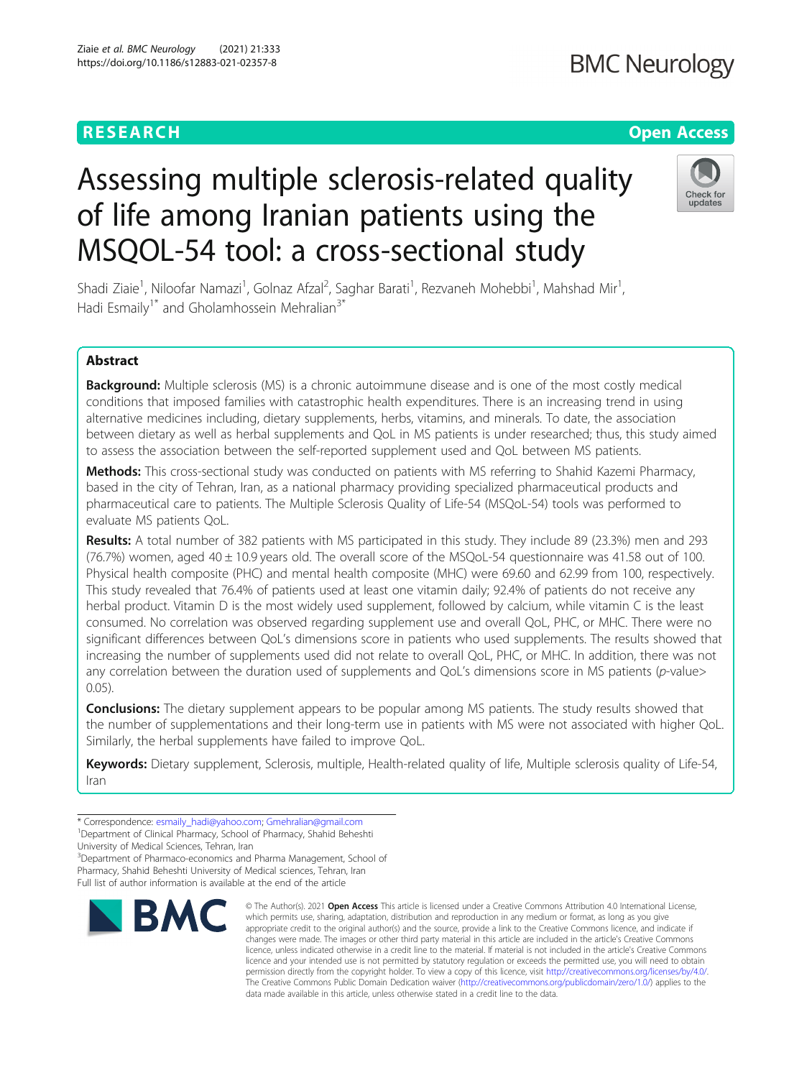## **BMC Neurology**

## **RESEARCH CHE Open Access**

# Assessing multiple sclerosis-related quality of life among Iranian patients using the MSQOL-54 tool: a cross-sectional study



Shadi Ziaie<sup>1</sup>, Niloofar Namazi<sup>1</sup>, Golnaz Afzal<sup>2</sup>, Saghar Barati<sup>1</sup>, Rezvaneh Mohebbi<sup>1</sup>, Mahshad Mir<sup>1</sup> , Hadi Esmaily<sup>1\*</sup> and Gholamhossein Mehralian<sup>3\*</sup>

## Abstract

Background: Multiple sclerosis (MS) is a chronic autoimmune disease and is one of the most costly medical conditions that imposed families with catastrophic health expenditures. There is an increasing trend in using alternative medicines including, dietary supplements, herbs, vitamins, and minerals. To date, the association between dietary as well as herbal supplements and QoL in MS patients is under researched; thus, this study aimed to assess the association between the self-reported supplement used and QoL between MS patients.

Methods: This cross-sectional study was conducted on patients with MS referring to Shahid Kazemi Pharmacy, based in the city of Tehran, Iran, as a national pharmacy providing specialized pharmaceutical products and pharmaceutical care to patients. The Multiple Sclerosis Quality of Life-54 (MSQoL-54) tools was performed to evaluate MS patients QoL.

Results: A total number of 382 patients with MS participated in this study. They include 89 (23.3%) men and 293 (76.7%) women, aged 40 ± 10.9 years old. The overall score of the MSQoL-54 questionnaire was 41.58 out of 100. Physical health composite (PHC) and mental health composite (MHC) were 69.60 and 62.99 from 100, respectively. This study revealed that 76.4% of patients used at least one vitamin daily; 92.4% of patients do not receive any herbal product. Vitamin D is the most widely used supplement, followed by calcium, while vitamin C is the least consumed. No correlation was observed regarding supplement use and overall QoL, PHC, or MHC. There were no significant differences between QoL's dimensions score in patients who used supplements. The results showed that increasing the number of supplements used did not relate to overall QoL, PHC, or MHC. In addition, there was not any correlation between the duration used of supplements and QoL's dimensions score in MS patients (p-value> 0.05).

**Conclusions:** The dietary supplement appears to be popular among MS patients. The study results showed that the number of supplementations and their long-term use in patients with MS were not associated with higher QoL. Similarly, the herbal supplements have failed to improve QoL.

Keywords: Dietary supplement, Sclerosis, multiple, Health-related quality of life, Multiple sclerosis quality of Life-54, Iran

<sup>1</sup>Department of Clinical Pharmacy, School of Pharmacy, Shahid Beheshti

University of Medical Sciences, Tehran, Iran

<sup>3</sup>Department of Pharmaco-economics and Pharma Management, School of Pharmacy, Shahid Beheshti University of Medical sciences, Tehran, Iran Full list of author information is available at the end of the article



© The Author(s), 2021 **Open Access** This article is licensed under a Creative Commons Attribution 4.0 International License, which permits use, sharing, adaptation, distribution and reproduction in any medium or format, as long as you give appropriate credit to the original author(s) and the source, provide a link to the Creative Commons licence, and indicate if changes were made. The images or other third party material in this article are included in the article's Creative Commons licence, unless indicated otherwise in a credit line to the material. If material is not included in the article's Creative Commons licence and your intended use is not permitted by statutory regulation or exceeds the permitted use, you will need to obtain permission directly from the copyright holder. To view a copy of this licence, visit [http://creativecommons.org/licenses/by/4.0/.](http://creativecommons.org/licenses/by/4.0/) The Creative Commons Public Domain Dedication waiver [\(http://creativecommons.org/publicdomain/zero/1.0/](http://creativecommons.org/publicdomain/zero/1.0/)) applies to the data made available in this article, unless otherwise stated in a credit line to the data.

<sup>\*</sup> Correspondence: [esmaily\\_hadi@yahoo.com](mailto:esmaily_hadi@yahoo.com); [Gmehralian@gmail.com](mailto:Gmehralian@gmail.com) <sup>1</sup>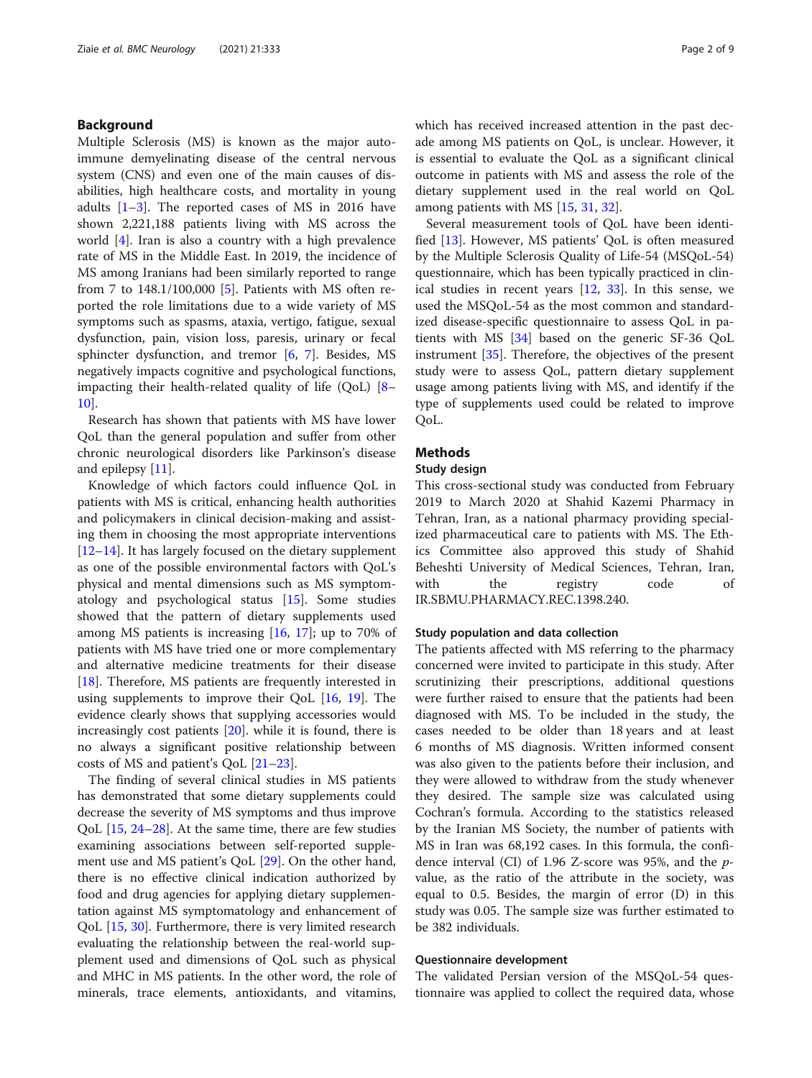## Background

Multiple Sclerosis (MS) is known as the major autoimmune demyelinating disease of the central nervous system (CNS) and even one of the main causes of disabilities, high healthcare costs, and mortality in young adults  $[1-3]$  $[1-3]$  $[1-3]$  $[1-3]$ . The reported cases of MS in 2016 have shown 2,221,188 patients living with MS across the world [\[4](#page-7-0)]. Iran is also a country with a high prevalence rate of MS in the Middle East. In 2019, the incidence of MS among Iranians had been similarly reported to range from 7 to 148.1/100,000 [[5\]](#page-7-0). Patients with MS often reported the role limitations due to a wide variety of MS symptoms such as spasms, ataxia, vertigo, fatigue, sexual dysfunction, pain, vision loss, paresis, urinary or fecal sphincter dysfunction, and tremor [[6](#page-7-0), [7\]](#page-7-0). Besides, MS negatively impacts cognitive and psychological functions, impacting their health-related quality of life (QoL) [[8](#page-7-0)– [10\]](#page-7-0).

Research has shown that patients with MS have lower QoL than the general population and suffer from other chronic neurological disorders like Parkinson's disease and epilepsy [\[11](#page-7-0)].

Knowledge of which factors could influence QoL in patients with MS is critical, enhancing health authorities and policymakers in clinical decision-making and assisting them in choosing the most appropriate interventions [[12](#page-7-0)–[14](#page-7-0)]. It has largely focused on the dietary supplement as one of the possible environmental factors with QoL's physical and mental dimensions such as MS symptomatology and psychological status [[15](#page-7-0)]. Some studies showed that the pattern of dietary supplements used among MS patients is increasing  $[16, 17]$  $[16, 17]$  $[16, 17]$  $[16, 17]$  $[16, 17]$ ; up to 70% of patients with MS have tried one or more complementary and alternative medicine treatments for their disease [[18\]](#page-7-0). Therefore, MS patients are frequently interested in using supplements to improve their QoL [[16](#page-7-0), [19\]](#page-7-0). The evidence clearly shows that supplying accessories would increasingly cost patients [\[20](#page-7-0)]. while it is found, there is no always a significant positive relationship between costs of MS and patient's QoL [\[21](#page-7-0)–[23\]](#page-7-0).

The finding of several clinical studies in MS patients has demonstrated that some dietary supplements could decrease the severity of MS symptoms and thus improve QoL [\[15,](#page-7-0) [24](#page-7-0)–[28\]](#page-7-0). At the same time, there are few studies examining associations between self-reported supplement use and MS patient's QoL [[29](#page-7-0)]. On the other hand, there is no effective clinical indication authorized by food and drug agencies for applying dietary supplementation against MS symptomatology and enhancement of QoL [\[15,](#page-7-0) [30\]](#page-7-0). Furthermore, there is very limited research evaluating the relationship between the real-world supplement used and dimensions of QoL such as physical and MHC in MS patients. In the other word, the role of minerals, trace elements, antioxidants, and vitamins, which has received increased attention in the past decade among MS patients on QoL, is unclear. However, it is essential to evaluate the QoL as a significant clinical outcome in patients with MS and assess the role of the dietary supplement used in the real world on QoL among patients with MS [[15](#page-7-0), [31](#page-7-0), [32](#page-7-0)].

Several measurement tools of QoL have been identified [\[13](#page-7-0)]. However, MS patients' QoL is often measured by the Multiple Sclerosis Quality of Life-54 (MSQoL-54) questionnaire, which has been typically practiced in clinical studies in recent years [\[12](#page-7-0), [33](#page-7-0)]. In this sense, we used the MSQoL-54 as the most common and standardized disease-specific questionnaire to assess QoL in patients with MS [[34](#page-7-0)] based on the generic SF-36 QoL instrument [\[35](#page-7-0)]. Therefore, the objectives of the present study were to assess QoL, pattern dietary supplement usage among patients living with MS, and identify if the type of supplements used could be related to improve QoL.

## Methods

#### Study design

This cross-sectional study was conducted from February 2019 to March 2020 at Shahid Kazemi Pharmacy in Tehran, Iran, as a national pharmacy providing specialized pharmaceutical care to patients with MS. The Ethics Committee also approved this study of Shahid Beheshti University of Medical Sciences, Tehran, Iran, with the registry code of IR.SBMU.PHARMACY.REC.1398.240.

### Study population and data collection

The patients affected with MS referring to the pharmacy concerned were invited to participate in this study. After scrutinizing their prescriptions, additional questions were further raised to ensure that the patients had been diagnosed with MS. To be included in the study, the cases needed to be older than 18 years and at least 6 months of MS diagnosis. Written informed consent was also given to the patients before their inclusion, and they were allowed to withdraw from the study whenever they desired. The sample size was calculated using Cochran's formula. According to the statistics released by the Iranian MS Society, the number of patients with MS in Iran was 68,192 cases. In this formula, the confidence interval (CI) of 1.96 Z-score was 95%, and the pvalue, as the ratio of the attribute in the society, was equal to 0.5. Besides, the margin of error (D) in this study was 0.05. The sample size was further estimated to be 382 individuals.

#### Questionnaire development

The validated Persian version of the MSQoL-54 questionnaire was applied to collect the required data, whose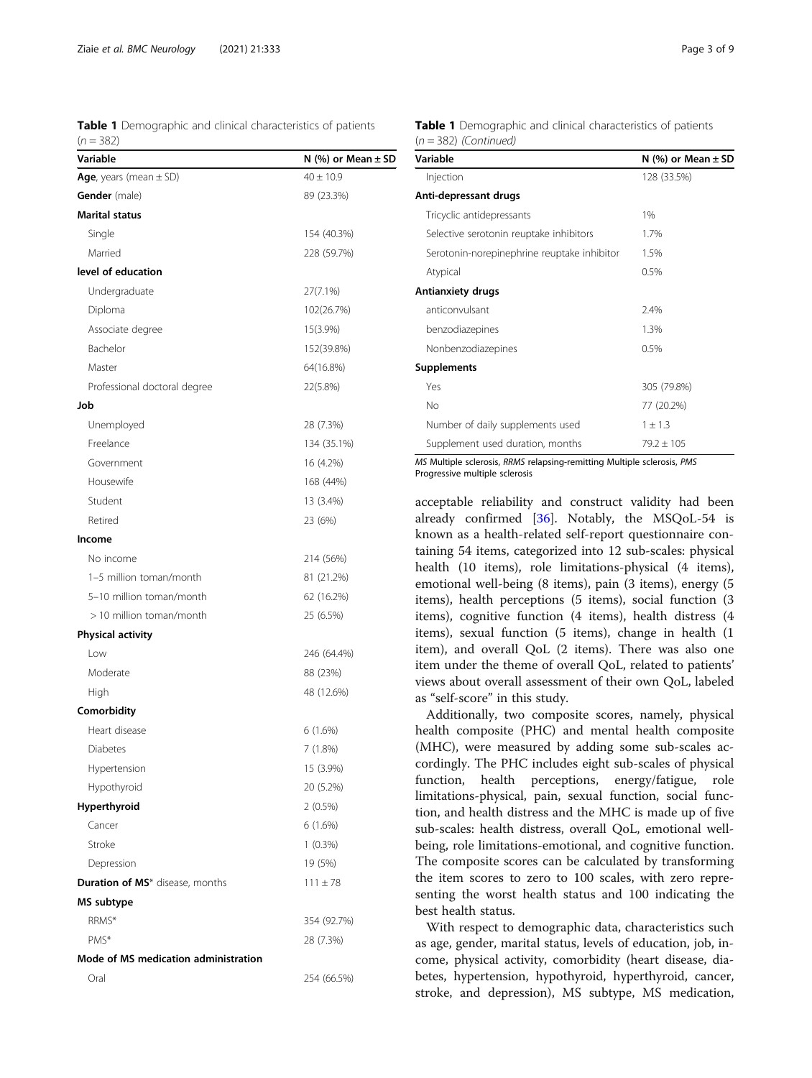<span id="page-2-0"></span>Table 1 Demographic and clinical characteristics of patients  $(n = 382)$ 

| Variable                             | N $(\%)$ or Mean $\pm$ SD |
|--------------------------------------|---------------------------|
| Age, years (mean $\pm$ SD)           | $40 \pm 10.9$             |
| <b>Gender</b> (male)                 | 89 (23.3%)                |
| <b>Marital status</b>                |                           |
| Single                               | 154 (40.3%)               |
| Married                              | 228 (59.7%)               |
| level of education                   |                           |
| Undergraduate                        | 27(7.1%)                  |
| Diploma                              | 102(26.7%)                |
| Associate degree                     | 15(3.9%)                  |
| Bachelor                             | 152(39.8%)                |
| Master                               | 64(16.8%)                 |
| Professional doctoral degree         | 22(5.8%)                  |
| Job                                  |                           |
| Unemployed                           | 28 (7.3%)                 |
| Freelance                            | 134 (35.1%)               |
| Government                           | 16 (4.2%)                 |
| Housewife                            | 168 (44%)                 |
| Student                              | 13 (3.4%)                 |
| Retired                              | 23 (6%)                   |
| Income                               |                           |
| No income                            | 214 (56%)                 |
| 1-5 million toman/month              | 81 (21.2%)                |
| 5-10 million toman/month             | 62 (16.2%)                |
| > 10 million toman/month             | 25 (6.5%)                 |
| <b>Physical activity</b>             |                           |
| Low                                  | 246 (64.4%)               |
| Moderate                             | 88 (23%)                  |
| High                                 | 48 (12.6%)                |
| Comorbidity                          |                           |
| Heart disease                        | 6(1.6%)                   |
| <b>Diabetes</b>                      | 7 (1.8%)                  |
| Hypertension                         | 15 (3.9%)                 |
| Hypothyroid                          | 20 (5.2%)                 |
| Hyperthyroid                         | $2(0.5\%)$                |
| Cancer                               | 6(1.6%)                   |
| Stroke                               | $1(0.3\%)$                |
| Depression                           | 19 (5%)                   |
| Duration of MS* disease, months      | $111 \pm 78$              |
| MS subtype                           |                           |
| RRMS*                                | 354 (92.7%)               |
| PMS*                                 | 28 (7.3%)                 |
| Mode of MS medication administration |                           |
| Oral                                 | 254 (66.5%)               |
|                                      |                           |

| <b>Table 1</b> Demographic and clinical characteristics of patients |  |  |
|---------------------------------------------------------------------|--|--|
| $(n = 382)$ (Continued)                                             |  |  |

| Variable                                    | N $(\%)$ or Mean $\pm$ SD |
|---------------------------------------------|---------------------------|
| Injection                                   | 128 (33.5%)               |
| Anti-depressant drugs                       |                           |
| Tricyclic antidepressants                   | 1%                        |
| Selective serotonin reuptake inhibitors     | 1.7%                      |
| Serotonin-norepinephrine reuptake inhibitor | 1.5%                      |
| Atypical                                    | 0.5%                      |
| <b>Antianxiety drugs</b>                    |                           |
| anticonvulsant                              | 2.4%                      |
| benzodiazepines                             | 1.3%                      |
| Nonbenzodiazepines                          | 0.5%                      |
| <b>Supplements</b>                          |                           |
| Yes                                         | 305 (79.8%)               |
| No                                          | 77 (20.2%)                |
| Number of daily supplements used            | $1 \pm 1.3$               |
| Supplement used duration, months            | $79.2 + 105$              |

MS Multiple sclerosis, RRMS relapsing-remitting Multiple sclerosis, PMS Progressive multiple sclerosis

acceptable reliability and construct validity had been already confirmed [[36\]](#page-7-0). Notably, the MSQoL-54 is known as a health-related self-report questionnaire containing 54 items, categorized into 12 sub-scales: physical health (10 items), role limitations-physical (4 items), emotional well-being (8 items), pain (3 items), energy (5 items), health perceptions (5 items), social function (3 items), cognitive function (4 items), health distress (4 items), sexual function (5 items), change in health (1 item), and overall QoL (2 items). There was also one item under the theme of overall QoL, related to patients' views about overall assessment of their own QoL, labeled as "self-score" in this study.

Additionally, two composite scores, namely, physical health composite (PHC) and mental health composite (MHC), were measured by adding some sub-scales accordingly. The PHC includes eight sub-scales of physical function, health perceptions, energy/fatigue, role limitations-physical, pain, sexual function, social function, and health distress and the MHC is made up of five sub-scales: health distress, overall QoL, emotional wellbeing, role limitations-emotional, and cognitive function. The composite scores can be calculated by transforming the item scores to zero to 100 scales, with zero representing the worst health status and 100 indicating the best health status.

With respect to demographic data, characteristics such as age, gender, marital status, levels of education, job, income, physical activity, comorbidity (heart disease, diabetes, hypertension, hypothyroid, hyperthyroid, cancer, stroke, and depression), MS subtype, MS medication,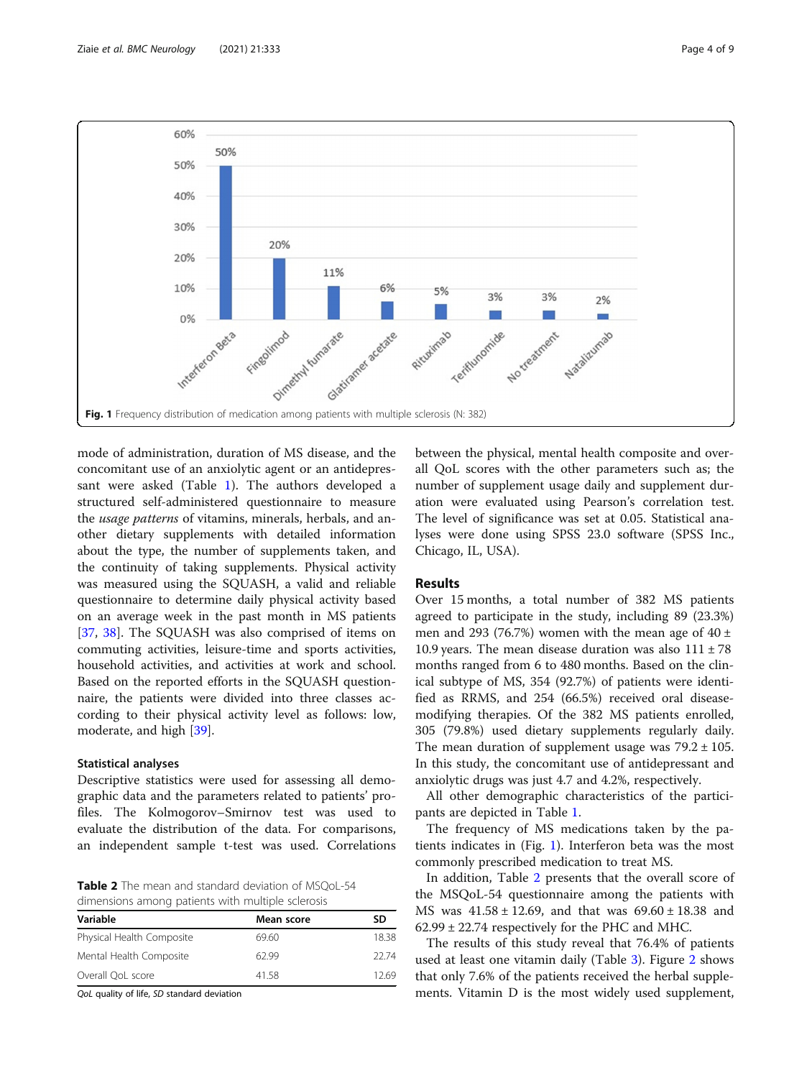

mode of administration, duration of MS disease, and the concomitant use of an anxiolytic agent or an antidepressant were asked (Table [1\)](#page-2-0). The authors developed a structured self-administered questionnaire to measure the usage patterns of vitamins, minerals, herbals, and another dietary supplements with detailed information about the type, the number of supplements taken, and the continuity of taking supplements. Physical activity was measured using the SQUASH, a valid and reliable questionnaire to determine daily physical activity based on an average week in the past month in MS patients [[37,](#page-7-0) [38](#page-7-0)]. The SQUASH was also comprised of items on commuting activities, leisure-time and sports activities, household activities, and activities at work and school. Based on the reported efforts in the SQUASH questionnaire, the patients were divided into three classes according to their physical activity level as follows: low, moderate, and high [\[39](#page-7-0)].

#### Statistical analyses

Descriptive statistics were used for assessing all demographic data and the parameters related to patients' profiles. The Kolmogorov–Smirnov test was used to evaluate the distribution of the data. For comparisons, an independent sample t-test was used. Correlations

Table 2 The mean and standard deviation of MSQoL-54 dimensions among patients with multiple sclerosis

| Mean score | SD    |
|------------|-------|
| 69.60      | 18.38 |
| 62.99      | 22.74 |
| 41.58      | 12.69 |
|            |       |

QoL quality of life, SD standard deviation

between the physical, mental health composite and overall QoL scores with the other parameters such as; the number of supplement usage daily and supplement duration were evaluated using Pearson's correlation test. The level of significance was set at 0.05. Statistical analyses were done using SPSS 23.0 software (SPSS Inc., Chicago, IL, USA).

## Results

Over 15 months, a total number of 382 MS patients agreed to participate in the study, including 89 (23.3%) men and 293 (76.7%) women with the mean age of  $40 \pm$ 10.9 years. The mean disease duration was also  $111 \pm 78$ months ranged from 6 to 480 months. Based on the clinical subtype of MS, 354 (92.7%) of patients were identified as RRMS, and 254 (66.5%) received oral diseasemodifying therapies. Of the 382 MS patients enrolled, 305 (79.8%) used dietary supplements regularly daily. The mean duration of supplement usage was  $79.2 \pm 105$ . In this study, the concomitant use of antidepressant and anxiolytic drugs was just 4.7 and 4.2%, respectively.

All other demographic characteristics of the participants are depicted in Table [1](#page-2-0).

The frequency of MS medications taken by the patients indicates in (Fig. 1). Interferon beta was the most commonly prescribed medication to treat MS.

In addition, Table 2 presents that the overall score of the MSQoL-54 questionnaire among the patients with MS was  $41.58 \pm 12.69$ , and that was  $69.60 \pm 18.38$  and 62.99 ± 22.74 respectively for the PHC and MHC.

The results of this study reveal that 76.4% of patients used at least one vitamin daily (Table [3\)](#page-4-0). Figure [2](#page-4-0) shows that only 7.6% of the patients received the herbal supplements. Vitamin D is the most widely used supplement,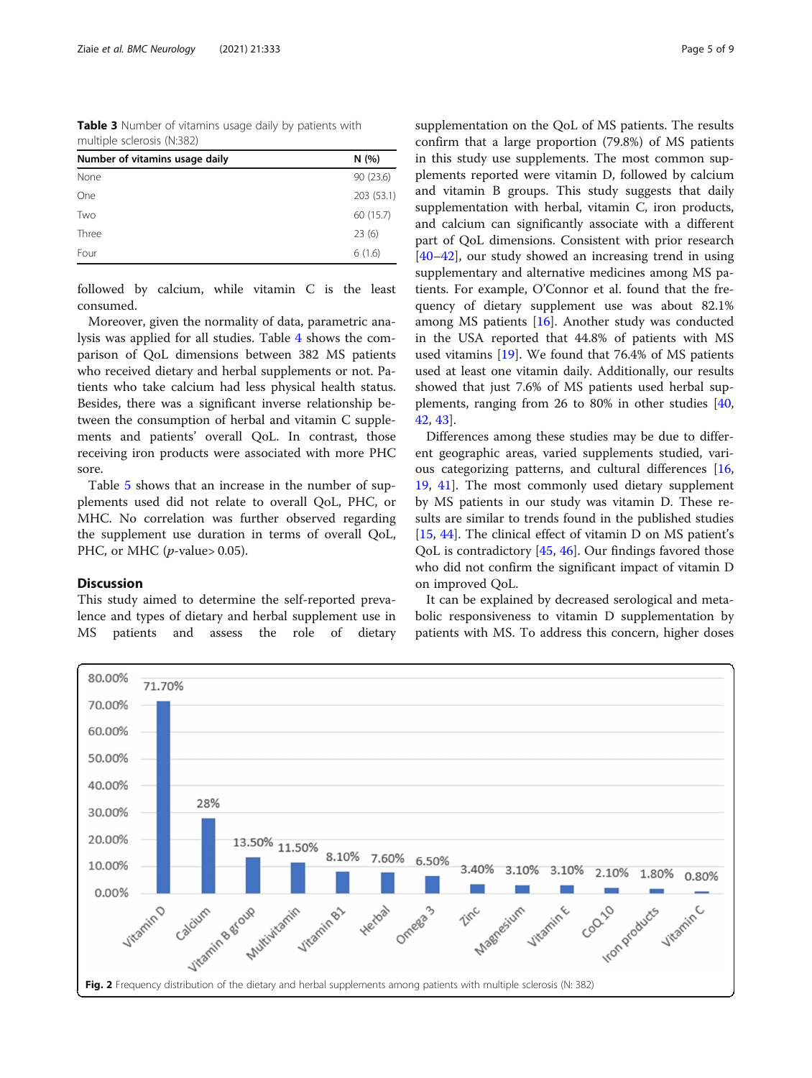<span id="page-4-0"></span>Table 3 Number of vitamins usage daily by patients with multiple sclerosis (N:382)

| None<br>One<br>60 (15.7)<br>Two<br>Three<br>23(6)<br>6(1.6)<br>Four | Number of vitamins usage daily | N(%)       |
|---------------------------------------------------------------------|--------------------------------|------------|
|                                                                     |                                | 90(23.6)   |
|                                                                     |                                | 203 (53.1) |
|                                                                     |                                |            |
|                                                                     |                                |            |
|                                                                     |                                |            |

followed by calcium, while vitamin C is the least consumed.

Moreover, given the normality of data, parametric analysis was applied for all studies. Table [4](#page-5-0) shows the comparison of QoL dimensions between 382 MS patients who received dietary and herbal supplements or not. Patients who take calcium had less physical health status. Besides, there was a significant inverse relationship between the consumption of herbal and vitamin C supplements and patients' overall QoL. In contrast, those receiving iron products were associated with more PHC sore.

Table [5](#page-5-0) shows that an increase in the number of supplements used did not relate to overall QoL, PHC, or MHC. No correlation was further observed regarding the supplement use duration in terms of overall QoL, PHC, or MHC ( $p$ -value> 0.05).

## Discussion

This study aimed to determine the self-reported prevalence and types of dietary and herbal supplement use in MS patients and assess the role of dietary supplementation on the QoL of MS patients. The results confirm that a large proportion (79.8%) of MS patients in this study use supplements. The most common supplements reported were vitamin D, followed by calcium and vitamin B groups. This study suggests that daily supplementation with herbal, vitamin C, iron products, and calcium can significantly associate with a different part of QoL dimensions. Consistent with prior research [[40](#page-7-0)–[42](#page-7-0)], our study showed an increasing trend in using supplementary and alternative medicines among MS patients. For example, O'Connor et al. found that the frequency of dietary supplement use was about 82.1% among MS patients [[16\]](#page-7-0). Another study was conducted in the USA reported that 44.8% of patients with MS used vitamins [[19\]](#page-7-0). We found that 76.4% of MS patients used at least one vitamin daily. Additionally, our results showed that just 7.6% of MS patients used herbal supplements, ranging from 26 to 80% in other studies [[40](#page-7-0), [42,](#page-7-0) [43](#page-7-0)].

Differences among these studies may be due to different geographic areas, varied supplements studied, various categorizing patterns, and cultural differences [[16](#page-7-0), [19,](#page-7-0) [41](#page-7-0)]. The most commonly used dietary supplement by MS patients in our study was vitamin D. These results are similar to trends found in the published studies [[15,](#page-7-0) [44\]](#page-7-0). The clinical effect of vitamin D on MS patient's QoL is contradictory [[45,](#page-8-0) [46\]](#page-8-0). Our findings favored those who did not confirm the significant impact of vitamin D on improved QoL.

It can be explained by decreased serological and metabolic responsiveness to vitamin D supplementation by patients with MS. To address this concern, higher doses

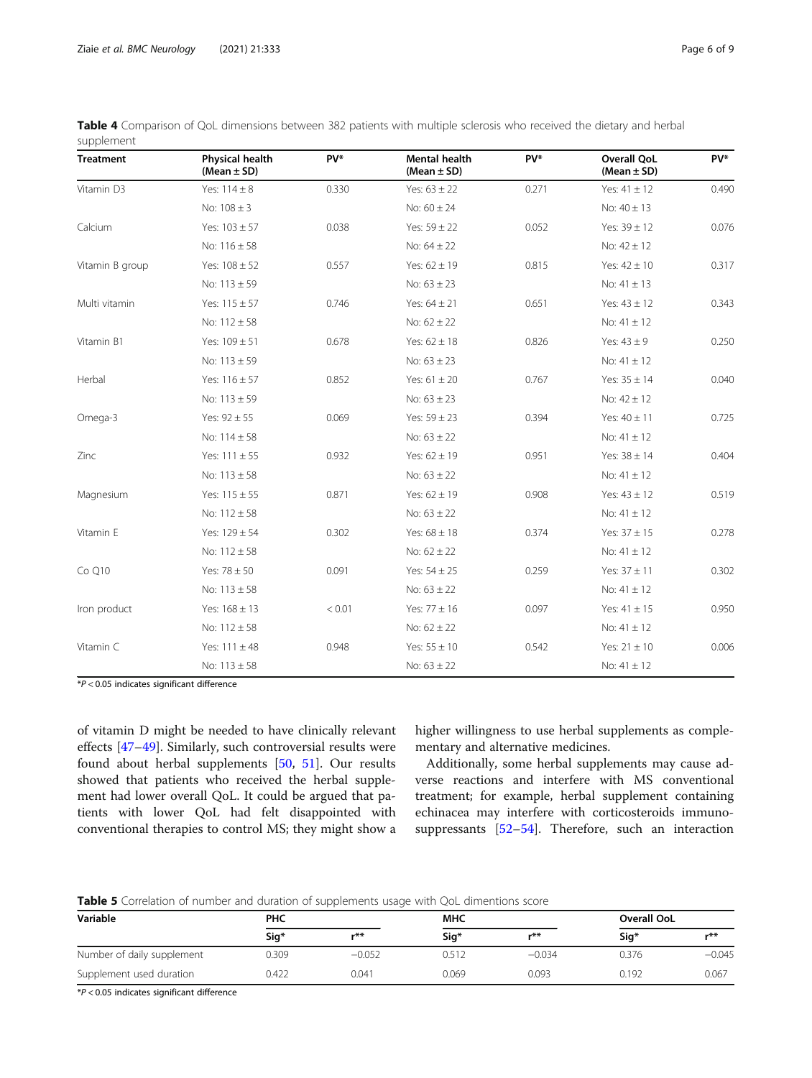| <b>Treatment</b> | Physical health<br>(Mean $\pm$ SD) | PV*    | <b>Mental health</b><br>(Mean $\pm$ SD) | PV*   | <b>Overall QoL</b><br>(Mean $\pm$ SD) | PV*   |
|------------------|------------------------------------|--------|-----------------------------------------|-------|---------------------------------------|-------|
| Vitamin D3       | Yes: $114 \pm 8$                   | 0.330  | Yes: $63 \pm 22$                        | 0.271 | Yes: $41 \pm 12$                      | 0.490 |
|                  | No: $108 \pm 3$                    |        | No: $60 \pm 24$                         |       | No: $40 \pm 13$                       |       |
| Calcium          | Yes: $103 \pm 57$                  | 0.038  | Yes: $59 \pm 22$                        | 0.052 | Yes: $39 \pm 12$                      | 0.076 |
|                  | No: $116 \pm 58$                   |        | No: $64 \pm 22$                         |       | No: $42 \pm 12$                       |       |
| Vitamin B group  | Yes: $108 \pm 52$                  | 0.557  | Yes: $62 \pm 19$                        | 0.815 | Yes: $42 \pm 10$                      | 0.317 |
|                  | No: $113 \pm 59$                   |        | No: $63 \pm 23$                         |       | No: $41 \pm 13$                       |       |
| Multi vitamin    | Yes: $115 \pm 57$                  | 0.746  | Yes: $64 \pm 21$                        | 0.651 | Yes: $43 \pm 12$                      | 0.343 |
|                  | No: $112 \pm 58$                   |        | No: $62 \pm 22$                         |       | No: $41 \pm 12$                       |       |
| Vitamin B1       | Yes: $109 \pm 51$                  | 0.678  | Yes: $62 \pm 18$                        | 0.826 | Yes: $43 \pm 9$                       | 0.250 |
|                  | No: $113 \pm 59$                   |        | No: $63 \pm 23$                         |       | No: $41 \pm 12$                       |       |
| Herbal           | Yes: $116 \pm 57$                  | 0.852  | Yes: $61 \pm 20$                        | 0.767 | Yes: $35 \pm 14$                      | 0.040 |
|                  | No: $113 \pm 59$                   |        | No: $63 \pm 23$                         |       | No: $42 \pm 12$                       |       |
| Omega-3          | Yes: $92 \pm 55$                   | 0.069  | Yes: $59 \pm 23$                        | 0.394 | Yes: $40 \pm 11$                      | 0.725 |
|                  | No: $114 \pm 58$                   |        | No: $63 \pm 22$                         |       | No: $41 \pm 12$                       |       |
| Zinc             | Yes: $111 \pm 55$                  | 0.932  | Yes: $62 \pm 19$                        | 0.951 | Yes: $38 \pm 14$                      | 0.404 |
|                  | No: $113 \pm 58$                   |        | No: $63 \pm 22$                         |       | No: $41 \pm 12$                       |       |
| Magnesium        | Yes: $115 \pm 55$                  | 0.871  | Yes: $62 \pm 19$                        | 0.908 | Yes: $43 \pm 12$                      | 0.519 |
|                  | No: $112 \pm 58$                   |        | No: $63 \pm 22$                         |       | No: $41 \pm 12$                       |       |
| Vitamin E        | Yes: $129 \pm 54$                  | 0.302  | Yes: $68 \pm 18$                        | 0.374 | Yes: $37 \pm 15$                      | 0.278 |
|                  | No: $112 \pm 58$                   |        | No: $62 \pm 22$                         |       | No: $41 \pm 12$                       |       |
| Co Q10           | Yes: $78 \pm 50$                   | 0.091  | Yes: $54 \pm 25$                        | 0.259 | Yes: $37 \pm 11$                      | 0.302 |
|                  | No: $113 \pm 58$                   |        | No: $63 \pm 22$                         |       | No: $41 \pm 12$                       |       |
| Iron product     | Yes: $168 \pm 13$                  | < 0.01 | Yes: $77 \pm 16$                        | 0.097 | Yes: $41 \pm 15$                      | 0.950 |
|                  | No: $112 \pm 58$                   |        | No: $62 \pm 22$                         |       | No: $41 \pm 12$                       |       |
| Vitamin C        | Yes: $111 \pm 48$                  | 0.948  | Yes: $55 \pm 10$                        | 0.542 | Yes: $21 \pm 10$                      | 0.006 |
|                  | No: $113 \pm 58$                   |        | No: $63 \pm 22$                         |       | No: $41 \pm 12$                       |       |

<span id="page-5-0"></span>

| Table 4 Comparison of QoL dimensions between 382 patients with multiple sclerosis who received the dietary and herbal |  |  |  |
|-----------------------------------------------------------------------------------------------------------------------|--|--|--|
| supplement                                                                                                            |  |  |  |

 $*P < 0.05$  indicates significant difference

of vitamin D might be needed to have clinically relevant effects [[47](#page-8-0)–[49](#page-8-0)]. Similarly, such controversial results were found about herbal supplements [[50](#page-8-0), [51](#page-8-0)]. Our results showed that patients who received the herbal supplement had lower overall QoL. It could be argued that patients with lower QoL had felt disappointed with conventional therapies to control MS; they might show a

higher willingness to use herbal supplements as complementary and alternative medicines.

Additionally, some herbal supplements may cause adverse reactions and interfere with MS conventional treatment; for example, herbal supplement containing echinacea may interfere with corticosteroids immunosuppressants [\[52](#page-8-0)–[54\]](#page-8-0). Therefore, such an interaction

Table 5 Correlation of number and duration of supplements usage with QoL dimentions score

| Variable                   | <b>PHC</b> |          | <b>MHC</b> |          | Overall OoL |          |
|----------------------------|------------|----------|------------|----------|-------------|----------|
|                            | Sig*       | r**      | Sig*       | $***$    | Sig*        | $***$    |
| Number of daily supplement | 0.309      | $-0.052$ | 0.512      | $-0.034$ | 0.376       | $-0.045$ |
| Supplement used duration   | 0.422      | 0.041    | 0.069      | 0.093    | 0.192       | 0.067    |

 $*P < 0.05$  indicates significant difference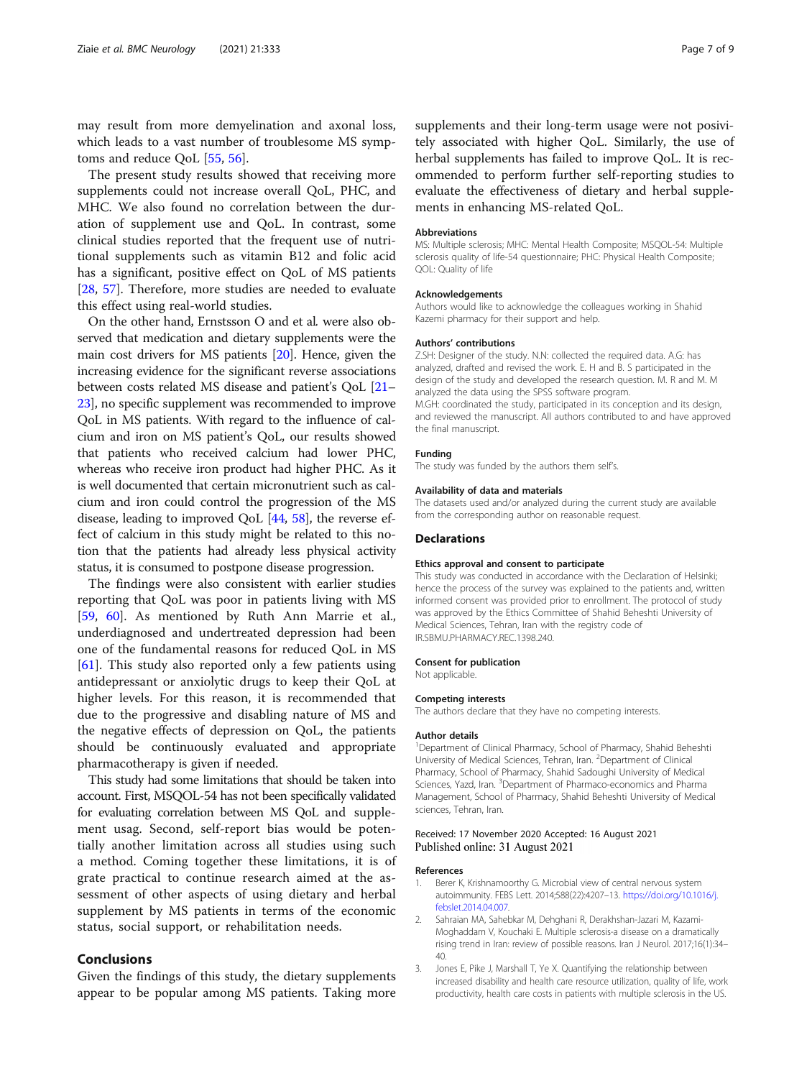<span id="page-6-0"></span>may result from more demyelination and axonal loss, which leads to a vast number of troublesome MS symptoms and reduce QoL [[55](#page-8-0), [56](#page-8-0)].

The present study results showed that receiving more supplements could not increase overall QoL, PHC, and MHC. We also found no correlation between the duration of supplement use and QoL. In contrast, some clinical studies reported that the frequent use of nutritional supplements such as vitamin B12 and folic acid has a significant, positive effect on QoL of MS patients [[28,](#page-7-0) [57](#page-8-0)]. Therefore, more studies are needed to evaluate this effect using real-world studies.

On the other hand, Ernstsson O and et al. were also observed that medication and dietary supplements were the main cost drivers for MS patients [[20](#page-7-0)]. Hence, given the increasing evidence for the significant reverse associations between costs related MS disease and patient's QoL [\[21](#page-7-0)– [23](#page-7-0)], no specific supplement was recommended to improve QoL in MS patients. With regard to the influence of calcium and iron on MS patient's QoL, our results showed that patients who received calcium had lower PHC, whereas who receive iron product had higher PHC. As it is well documented that certain micronutrient such as calcium and iron could control the progression of the MS disease, leading to improved QoL [\[44,](#page-7-0) [58\]](#page-8-0), the reverse effect of calcium in this study might be related to this notion that the patients had already less physical activity status, it is consumed to postpone disease progression.

The findings were also consistent with earlier studies reporting that QoL was poor in patients living with MS [[59,](#page-8-0) [60\]](#page-8-0). As mentioned by Ruth Ann Marrie et al., underdiagnosed and undertreated depression had been one of the fundamental reasons for reduced QoL in MS [[61\]](#page-8-0). This study also reported only a few patients using antidepressant or anxiolytic drugs to keep their QoL at higher levels. For this reason, it is recommended that due to the progressive and disabling nature of MS and the negative effects of depression on QoL, the patients should be continuously evaluated and appropriate pharmacotherapy is given if needed.

This study had some limitations that should be taken into account. First, MSQOL-54 has not been specifically validated for evaluating correlation between MS QoL and supplement usag. Second, self-report bias would be potentially another limitation across all studies using such a method. Coming together these limitations, it is of grate practical to continue research aimed at the assessment of other aspects of using dietary and herbal supplement by MS patients in terms of the economic status, social support, or rehabilitation needs.

## Conclusions

Given the findings of this study, the dietary supplements appear to be popular among MS patients. Taking more

supplements and their long-term usage were not posivitely associated with higher QoL. Similarly, the use of herbal supplements has failed to improve QoL. It is recommended to perform further self-reporting studies to evaluate the effectiveness of dietary and herbal supplements in enhancing MS-related QoL.

#### Abbreviations

MS: Multiple sclerosis; MHC: Mental Health Composite; MSQOL-54: Multiple sclerosis quality of life-54 questionnaire; PHC: Physical Health Composite; QOL: Quality of life

#### Acknowledgements

Authors would like to acknowledge the colleagues working in Shahid Kazemi pharmacy for their support and help.

#### Authors' contributions

Z.SH: Designer of the study. N.N: collected the required data. A.G: has analyzed, drafted and revised the work. E. H and B. S participated in the design of the study and developed the research question. M. R and M. M analyzed the data using the SPSS software program. M.GH: coordinated the study, participated in its conception and its design, and reviewed the manuscript. All authors contributed to and have approved the final manuscript.

## Funding

The study was funded by the authors them self's.

## Availability of data and materials

The datasets used and/or analyzed during the current study are available from the corresponding author on reasonable request.

#### Declarations

#### Ethics approval and consent to participate

This study was conducted in accordance with the Declaration of Helsinki; hence the process of the survey was explained to the patients and, written informed consent was provided prior to enrollment. The protocol of study was approved by the Ethics Committee of Shahid Beheshti University of Medical Sciences, Tehran, Iran with the registry code of IR.SBMU.PHARMACY.REC.1398.240.

#### Consent for publication

Not applicable.

#### Competing interests

The authors declare that they have no competing interests.

#### Author details

<sup>1</sup>Department of Clinical Pharmacy, School of Pharmacy, Shahid Beheshti University of Medical Sciences, Tehran, Iran. <sup>2</sup>Department of Clinical Pharmacy, School of Pharmacy, Shahid Sadoughi University of Medical Sciences, Yazd, Iran. <sup>3</sup>Department of Pharmaco-economics and Pharma Management, School of Pharmacy, Shahid Beheshti University of Medical sciences, Tehran, Iran.

### Received: 17 November 2020 Accepted: 16 August 2021 Published online: 31 August 2021

#### References

- 1. Berer K, Krishnamoorthy G. Microbial view of central nervous system autoimmunity. FEBS Lett. 2014;588(22):4207–13. [https://doi.org/10.1016/j.](https://doi.org/10.1016/j.febslet.2014.04.007) [febslet.2014.04.007.](https://doi.org/10.1016/j.febslet.2014.04.007)
- 2. Sahraian MA, Sahebkar M, Dehghani R, Derakhshan-Jazari M, Kazami-Moghaddam V, Kouchaki E. Multiple sclerosis-a disease on a dramatically rising trend in Iran: review of possible reasons. Iran J Neurol. 2017;16(1):34– 40.
- 3. Jones E, Pike J, Marshall T, Ye X. Quantifying the relationship between increased disability and health care resource utilization, quality of life, work productivity, health care costs in patients with multiple sclerosis in the US.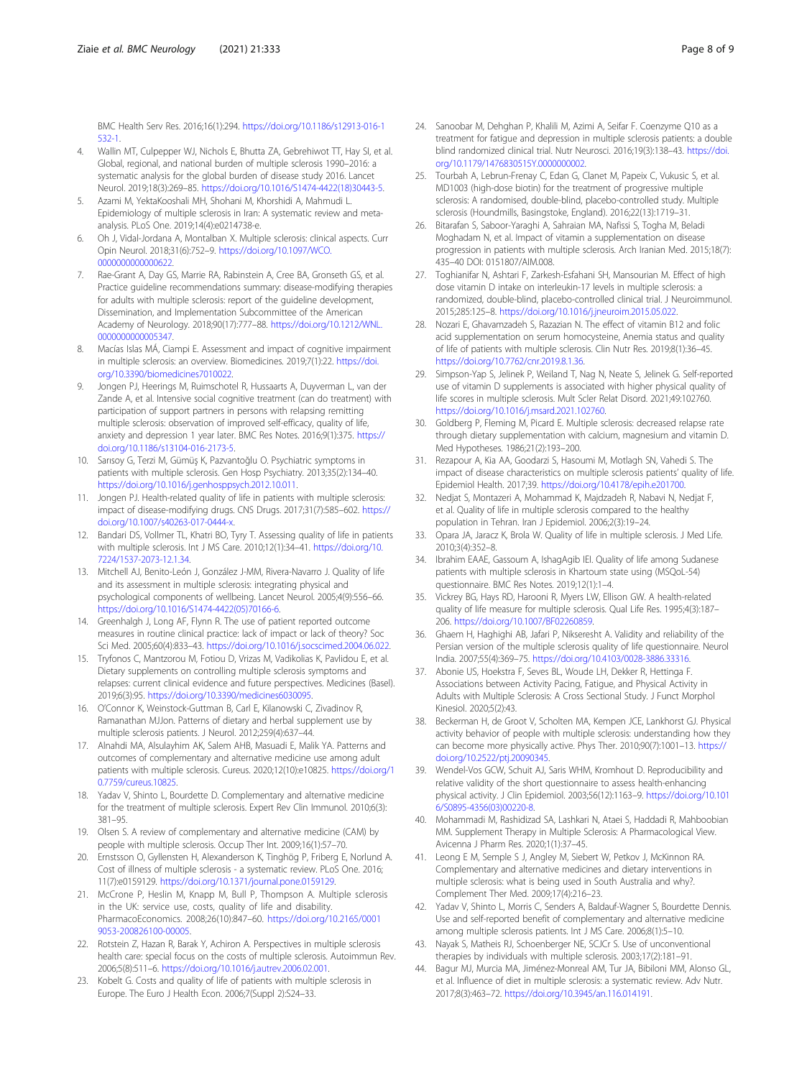<span id="page-7-0"></span>BMC Health Serv Res. 2016;16(1):294. [https://doi.org/10.1186/s12913-016-1](https://doi.org/10.1186/s12913-016-1532-1) [532-1](https://doi.org/10.1186/s12913-016-1532-1).

- 4. Wallin MT, Culpepper WJ, Nichols E, Bhutta ZA, Gebrehiwot TT, Hay SI, et al. Global, regional, and national burden of multiple sclerosis 1990–2016: a systematic analysis for the global burden of disease study 2016. Lancet Neurol. 2019;18(3):269–85. [https://doi.org/10.1016/S1474-4422\(18\)30443-5.](https://doi.org/10.1016/S1474-4422(18)30443-5)
- 5. Azami M, YektaKooshali MH, Shohani M, Khorshidi A, Mahmudi L. Epidemiology of multiple sclerosis in Iran: A systematic review and metaanalysis. PLoS One. 2019;14(4):e0214738-e.
- 6. Oh J, Vidal-Jordana A, Montalban X. Multiple sclerosis: clinical aspects. Curr Opin Neurol. 2018;31(6):752–9. [https://doi.org/10.1097/WCO.](https://doi.org/10.1097/WCO.0000000000000622) [0000000000000622](https://doi.org/10.1097/WCO.0000000000000622).
- 7. Rae-Grant A, Day GS, Marrie RA, Rabinstein A, Cree BA, Gronseth GS, et al. Practice guideline recommendations summary: disease-modifying therapies for adults with multiple sclerosis: report of the guideline development, Dissemination, and Implementation Subcommittee of the American Academy of Neurology. 2018;90(17):777–88. [https://doi.org/10.1212/WNL.](https://doi.org/10.1212/WNL.0000000000005347) [0000000000005347](https://doi.org/10.1212/WNL.0000000000005347).
- 8. Macías Islas MÁ, Ciampi E. Assessment and impact of cognitive impairment in multiple sclerosis: an overview. Biomedicines. 2019;7(1):22. [https://doi.](https://doi.org/10.3390/biomedicines7010022) [org/10.3390/biomedicines7010022.](https://doi.org/10.3390/biomedicines7010022)
- Jongen PJ, Heerings M, Ruimschotel R, Hussaarts A, Duyverman L, van der Zande A, et al. Intensive social cognitive treatment (can do treatment) with participation of support partners in persons with relapsing remitting multiple sclerosis: observation of improved self-efficacy, quality of life, anxiety and depression 1 year later. BMC Res Notes. 2016;9(1):375. [https://](https://doi.org/10.1186/s13104-016-2173-5) [doi.org/10.1186/s13104-016-2173-5](https://doi.org/10.1186/s13104-016-2173-5).
- 10. Sarısoy G, Terzi M, Gümüş K, Pazvantoğlu O. Psychiatric symptoms in patients with multiple sclerosis. Gen Hosp Psychiatry. 2013;35(2):134–40. <https://doi.org/10.1016/j.genhosppsych.2012.10.011>.
- 11. Jongen PJ. Health-related quality of life in patients with multiple sclerosis: impact of disease-modifying drugs. CNS Drugs. 2017;31(7):585–602. [https://](https://doi.org/10.1007/s40263-017-0444-x) [doi.org/10.1007/s40263-017-0444-x](https://doi.org/10.1007/s40263-017-0444-x).
- 12. Bandari DS, Vollmer TL, Khatri BO, Tyry T. Assessing quality of life in patients with multiple sclerosis. Int J MS Care. 2010;12(1):34–41. [https://doi.org/10.](https://doi.org/10.7224/1537-2073-12.1.34) [7224/1537-2073-12.1.34.](https://doi.org/10.7224/1537-2073-12.1.34)
- 13. Mitchell AJ, Benito-León J, González J-MM, Rivera-Navarro J. Quality of life and its assessment in multiple sclerosis: integrating physical and psychological components of wellbeing. Lancet Neurol. 2005;4(9):556–66. [https://doi.org/10.1016/S1474-4422\(05\)70166-6.](https://doi.org/10.1016/S1474-4422(05)70166-6)
- 14. Greenhalgh J, Long AF, Flynn R. The use of patient reported outcome measures in routine clinical practice: lack of impact or lack of theory? Soc Sci Med. 2005;60(4):833–43. [https://doi.org/10.1016/j.socscimed.2004.06.022.](https://doi.org/10.1016/j.socscimed.2004.06.022)
- 15. Tryfonos C, Mantzorou M, Fotiou D, Vrizas M, Vadikolias K, Pavlidou E, et al. Dietary supplements on controlling multiple sclerosis symptoms and relapses: current clinical evidence and future perspectives. Medicines (Basel). 2019;6(3):95. <https://doi.org/10.3390/medicines6030095>.
- 16. O'Connor K, Weinstock-Guttman B, Carl E, Kilanowski C, Zivadinov R, Ramanathan MJJon. Patterns of dietary and herbal supplement use by multiple sclerosis patients. J Neurol. 2012;259(4):637–44.
- 17. Alnahdi MA, Alsulayhim AK, Salem AHB, Masuadi E, Malik YA. Patterns and outcomes of complementary and alternative medicine use among adult patients with multiple sclerosis. Cureus. 2020;12(10):e10825. [https://doi.org/1](https://doi.org/10.7759/cureus.10825) [0.7759/cureus.10825](https://doi.org/10.7759/cureus.10825).
- 18. Yadav V, Shinto L, Bourdette D. Complementary and alternative medicine for the treatment of multiple sclerosis. Expert Rev Clin Immunol. 2010;6(3): 381–95.
- 19. Olsen S. A review of complementary and alternative medicine (CAM) by people with multiple sclerosis. Occup Ther Int. 2009;16(1):57–70.
- 20. Ernstsson O, Gyllensten H, Alexanderson K, Tinghög P, Friberg E, Norlund A. Cost of illness of multiple sclerosis - a systematic review. PLoS One. 2016; 11(7):e0159129. <https://doi.org/10.1371/journal.pone.0159129>.
- 21. McCrone P, Heslin M, Knapp M, Bull P, Thompson A. Multiple sclerosis in the UK: service use, costs, quality of life and disability. PharmacoEconomics. 2008;26(10):847–60. [https://doi.org/10.2165/0001](https://doi.org/10.2165/00019053-200826100-00005) [9053-200826100-00005](https://doi.org/10.2165/00019053-200826100-00005).
- 22. Rotstein Z, Hazan R, Barak Y, Achiron A. Perspectives in multiple sclerosis health care: special focus on the costs of multiple sclerosis. Autoimmun Rev. 2006;5(8):511–6. [https://doi.org/10.1016/j.autrev.2006.02.001.](https://doi.org/10.1016/j.autrev.2006.02.001)
- 23. Kobelt G. Costs and quality of life of patients with multiple sclerosis in Europe. The Euro J Health Econ. 2006;7(Suppl 2):S24–33.
- 24. Sanoobar M, Dehghan P, Khalili M, Azimi A, Seifar F. Coenzyme Q10 as a treatment for fatigue and depression in multiple sclerosis patients: a double blind randomized clinical trial. Nutr Neurosci. 2016;19(3):138–43. [https://doi.](https://doi.org/10.1179/1476830515Y.0000000002) [org/10.1179/1476830515Y.0000000002.](https://doi.org/10.1179/1476830515Y.0000000002)
- 25. Tourbah A, Lebrun-Frenay C, Edan G, Clanet M, Papeix C, Vukusic S, et al. MD1003 (high-dose biotin) for the treatment of progressive multiple sclerosis: A randomised, double-blind, placebo-controlled study. Multiple sclerosis (Houndmills, Basingstoke, England). 2016;22(13):1719–31.
- 26. Bitarafan S, Saboor-Yaraghi A, Sahraian MA, Nafissi S, Togha M, Beladi Moghadam N, et al. Impact of vitamin a supplementation on disease progression in patients with multiple sclerosis. Arch Iranian Med. 2015;18(7): 435–40 DOI: 0151807/AIM.008.
- 27. Toghianifar N, Ashtari F, Zarkesh-Esfahani SH, Mansourian M. Effect of high dose vitamin D intake on interleukin-17 levels in multiple sclerosis: a randomized, double-blind, placebo-controlled clinical trial. J Neuroimmunol. 2015;285:125–8. <https://doi.org/10.1016/j.jneuroim.2015.05.022>.
- 28. Nozari E, Ghavamzadeh S, Razazian N. The effect of vitamin B12 and folic acid supplementation on serum homocysteine, Anemia status and quality of life of patients with multiple sclerosis. Clin Nutr Res. 2019;8(1):36–45. [https://doi.org/10.7762/cnr.2019.8.1.36.](https://doi.org/10.7762/cnr.2019.8.1.36)
- 29. Simpson-Yap S, Jelinek P, Weiland T, Nag N, Neate S, Jelinek G. Self-reported use of vitamin D supplements is associated with higher physical quality of life scores in multiple sclerosis. Mult Scler Relat Disord. 2021;49:102760. [https://doi.org/10.1016/j.msard.2021.102760.](https://doi.org/10.1016/j.msard.2021.102760)
- 30. Goldberg P, Fleming M, Picard E. Multiple sclerosis: decreased relapse rate through dietary supplementation with calcium, magnesium and vitamin D. Med Hypotheses. 1986;21(2):193–200.
- 31. Rezapour A, Kia AA, Goodarzi S, Hasoumi M, Motlagh SN, Vahedi S. The impact of disease characteristics on multiple sclerosis patients' quality of life. Epidemiol Health. 2017;39. [https://doi.org/10.4178/epih.e201700.](https://doi.org/10.4178/epih.e201700)
- 32. Nedjat S, Montazeri A, Mohammad K, Majdzadeh R, Nabavi N, Nedjat F, et al. Quality of life in multiple sclerosis compared to the healthy population in Tehran. Iran J Epidemiol. 2006;2(3):19–24.
- 33. Opara JA, Jaracz K, Brola W. Quality of life in multiple sclerosis. J Med Life. 2010;3(4):352–8.
- 34. Ibrahim EAAE, Gassoum A, IshagAgib IEI. Quality of life among Sudanese patients with multiple sclerosis in Khartoum state using (MSQoL-54) questionnaire. BMC Res Notes. 2019;12(1):1–4.
- 35. Vickrey BG, Hays RD, Harooni R, Myers LW, Ellison GW. A health-related quality of life measure for multiple sclerosis. Qual Life Res. 1995;4(3):187– 206. [https://doi.org/10.1007/BF02260859.](https://doi.org/10.1007/BF02260859)
- 36. Ghaem H, Haghighi AB, Jafari P, Nikseresht A. Validity and reliability of the Persian version of the multiple sclerosis quality of life questionnaire. Neurol India. 2007;55(4):369–75. [https://doi.org/10.4103/0028-3886.33316.](https://doi.org/10.4103/0028-3886.33316)
- 37. Abonie US, Hoekstra F, Seves BL, Woude LH, Dekker R, Hettinga F. Associations between Activity Pacing, Fatigue, and Physical Activity in Adults with Multiple Sclerosis: A Cross Sectional Study. J Funct Morphol Kinesiol. 2020;5(2):43.
- 38. Beckerman H, de Groot V, Scholten MA, Kempen JCE, Lankhorst GJ. Physical activity behavior of people with multiple sclerosis: understanding how they can become more physically active. Phys Ther. 2010;90(7):1001–13. [https://](https://doi.org/10.2522/ptj.20090345) [doi.org/10.2522/ptj.20090345](https://doi.org/10.2522/ptj.20090345).
- 39. Wendel-Vos GCW, Schuit AJ, Saris WHM, Kromhout D. Reproducibility and relative validity of the short questionnaire to assess health-enhancing physical activity. J Clin Epidemiol. 2003;56(12):1163–9. [https://doi.org/10.101](https://doi.org/10.1016/S0895-4356(03)00220-8) [6/S0895-4356\(03\)00220-8](https://doi.org/10.1016/S0895-4356(03)00220-8).
- 40. Mohammadi M, Rashidizad SA, Lashkari N, Ataei S, Haddadi R, Mahboobian MM. Supplement Therapy in Multiple Sclerosis: A Pharmacological View. Avicenna J Pharm Res. 2020;1(1):37–45.
- 41. Leong E M, Semple S J, Angley M, Siebert W, Petkov J, McKinnon RA. Complementary and alternative medicines and dietary interventions in multiple sclerosis: what is being used in South Australia and why?. Complement Ther Med. 2009;17(4):216–23.
- 42. Yadav V, Shinto L, Morris C, Senders A, Baldauf-Wagner S, Bourdette Dennis. Use and self-reported benefit of complementary and alternative medicine among multiple sclerosis patients. Int J MS Care. 2006;8(1):5–10.
- 43. Nayak S, Matheis RJ, Schoenberger NE, SCJCr S. Use of unconventional therapies by individuals with multiple sclerosis. 2003;17(2):181–91.
- 44. Bagur MJ, Murcia MA, Jiménez-Monreal AM, Tur JA, Bibiloni MM, Alonso GL, et al. Influence of diet in multiple sclerosis: a systematic review. Adv Nutr. 2017;8(3):463–72. [https://doi.org/10.3945/an.116.014191.](https://doi.org/10.3945/an.116.014191)